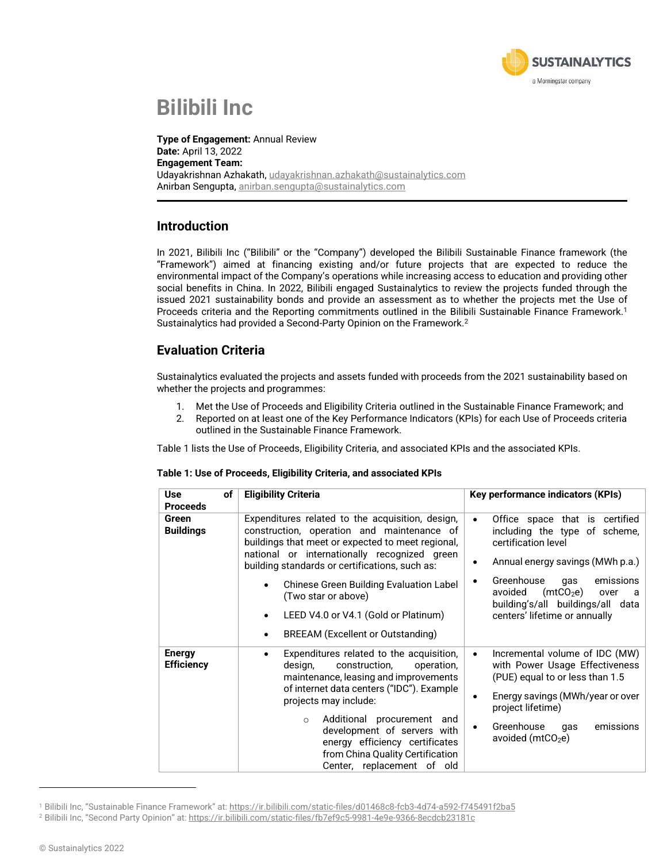

# **Bilibili Inc**

**Type of Engagement:** Annual Review **Date:** April 13, 2022 **Engagement Team:** Udayakrishnan Azhakath, [udayakrishnan.azhakath@sustainalytics.com](mailto:udayakrishnan.azhakath@sustainalytics.com) Anirban Sengupta, [anirban.sengupta@sustainalytics.com](mailto:anirban.sengupta@sustainalytics.com)

#### **Introduction**

In 2021, Bilibili Inc ("Bilibili" or the "Company") developed the Bilibili Sustainable Finance framework (the "Framework") aimed at financing existing and/or future projects that are expected to reduce the environmental impact of the Company's operations while increasing access to education and providing other social benefits in China. In 2022, Bilibili engaged Sustainalytics to review the projects funded through the issued 2021 sustainability bonds and provide an assessment as to whether the projects met the Use of Proceeds criteria and the Reporting commitments outlined in the Bilibili Sustainable Finance Framework.<sup>1</sup> Sustainalytics had provided a Second-Party Opinion on the Framework.<sup>2</sup>

### **Evaluation Criteria**

Sustainalytics evaluated the projects and assets funded with proceeds from the 2021 sustainability based on whether the projects and programmes:

- 1. Met the Use of Proceeds and Eligibility Criteria outlined in the Sustainable Finance Framework; and
- 2. Reported on at least one of the Key Performance Indicators (KPIs) for each Use of Proceeds criteria outlined in the Sustainable Finance Framework.

Table 1 lists the Use of Proceeds, Eligibility Criteria, and associated KPIs and the associated KPIs.

| Table 1: Use of Proceeds, Eligibility Criteria, and associated KPIs |  |  |
|---------------------------------------------------------------------|--|--|
|---------------------------------------------------------------------|--|--|

| <b>Use</b><br>оf<br><b>Proceeds</b> | <b>Eligibility Criteria</b>                                                                                                                                                                                                                                                                                                                                                                                                           | Key performance indicators (KPIs)                                                                                                                                                                                                                                                                |
|-------------------------------------|---------------------------------------------------------------------------------------------------------------------------------------------------------------------------------------------------------------------------------------------------------------------------------------------------------------------------------------------------------------------------------------------------------------------------------------|--------------------------------------------------------------------------------------------------------------------------------------------------------------------------------------------------------------------------------------------------------------------------------------------------|
| Green<br><b>Buildings</b>           | Expenditures related to the acquisition, design,<br>construction, operation and maintenance of<br>buildings that meet or expected to meet regional,<br>national or internationally recognized green<br>building standards or certifications, such as:<br>Chinese Green Building Evaluation Label<br>(Two star or above)<br>LEED V4.0 or V4.1 (Gold or Platinum)<br>$\bullet$<br><b>BREEAM</b> (Excellent or Outstanding)<br>$\bullet$ | Office space that is certified<br>$\bullet$<br>including the type of scheme,<br>certification level<br>Annual energy savings (MWh p.a.)<br>Greenhouse<br>emissions<br>qas<br>(mtCO <sub>2</sub> e)<br>avoided<br>over<br>a<br>building's/all buildings/all data<br>centers' lifetime or annually |
| <b>Energy</b><br><b>Efficiency</b>  | Expenditures related to the acquisition,<br>design,<br>construction,<br>operation,<br>maintenance, leasing and improvements<br>of internet data centers ("IDC"). Example<br>projects may include:<br>Additional procurement and<br>$\circ$<br>development of servers with<br>energy efficiency certificates<br>from China Quality Certification<br>Center, replacement of old                                                         | Incremental volume of IDC (MW)<br>$\bullet$<br>with Power Usage Effectiveness<br>(PUE) equal to or less than 1.5<br>Energy savings (MWh/year or over<br>project lifetime)<br>Greenhouse<br>emissions<br>qas<br>avoided ( $mtCO2e$ )                                                              |

<sup>1</sup> Bilibili Inc, "Sustainable Finance Framework" at: <https://ir.bilibili.com/static-files/d01468c8-fcb3-4d74-a592-f745491f2ba5>

<sup>2</sup> Bilibili Inc, "Second Party Opinion" at: <https://ir.bilibili.com/static-files/fb7ef9c5-9981-4e9e-9366-8ecdcb23181c>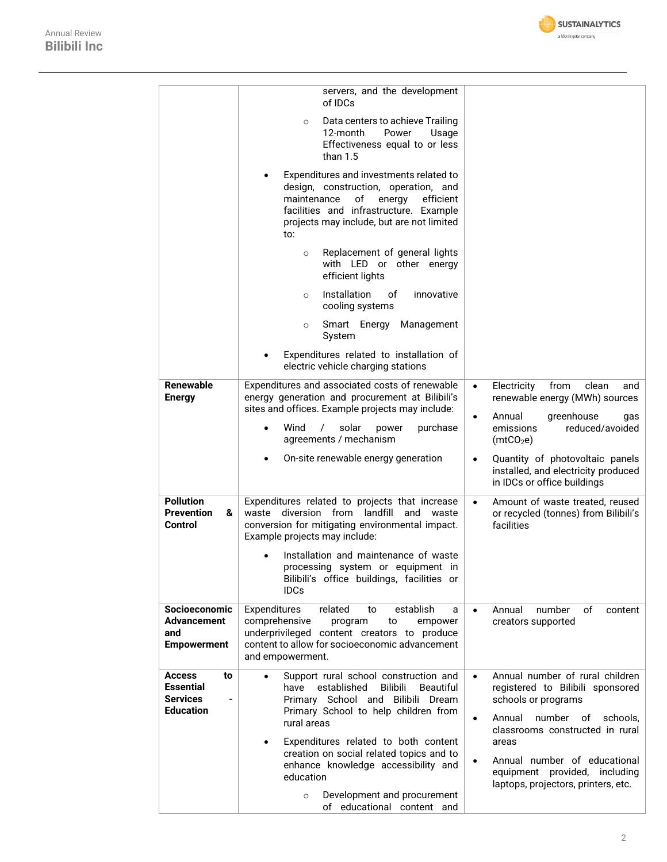

|                                                                                                            | servers, and the development<br>of IDCs                                                                                                                                                                                                                                                                                                                                                        |                                                                                                                                                                                                                                                                                                                             |
|------------------------------------------------------------------------------------------------------------|------------------------------------------------------------------------------------------------------------------------------------------------------------------------------------------------------------------------------------------------------------------------------------------------------------------------------------------------------------------------------------------------|-----------------------------------------------------------------------------------------------------------------------------------------------------------------------------------------------------------------------------------------------------------------------------------------------------------------------------|
|                                                                                                            | Data centers to achieve Trailing<br>$\circ$<br>12-month<br>Power<br>Usage<br>Effectiveness equal to or less<br>than $1.5$                                                                                                                                                                                                                                                                      |                                                                                                                                                                                                                                                                                                                             |
|                                                                                                            | Expenditures and investments related to<br>design, construction, operation, and<br>of<br>maintenance<br>energy<br>efficient<br>facilities and infrastructure. Example<br>projects may include, but are not limited<br>to:                                                                                                                                                                      |                                                                                                                                                                                                                                                                                                                             |
|                                                                                                            | Replacement of general lights<br>$\circ$<br>with LED or other energy<br>efficient lights                                                                                                                                                                                                                                                                                                       |                                                                                                                                                                                                                                                                                                                             |
|                                                                                                            | Installation<br>οf<br>innovative<br>$\circ$<br>cooling systems                                                                                                                                                                                                                                                                                                                                 |                                                                                                                                                                                                                                                                                                                             |
|                                                                                                            | Smart Energy<br>Management<br>$\circ$<br>System                                                                                                                                                                                                                                                                                                                                                |                                                                                                                                                                                                                                                                                                                             |
|                                                                                                            | Expenditures related to installation of<br>electric vehicle charging stations                                                                                                                                                                                                                                                                                                                  |                                                                                                                                                                                                                                                                                                                             |
| <b>Renewable</b><br><b>Energy</b>                                                                          | Expenditures and associated costs of renewable<br>energy generation and procurement at Bilibili's<br>sites and offices. Example projects may include:                                                                                                                                                                                                                                          | from<br>clean<br>Electricity<br>$\bullet$<br>and<br>renewable energy (MWh) sources                                                                                                                                                                                                                                          |
|                                                                                                            | Wind<br>purchase<br>solar<br>$\prime$<br>power<br>$\bullet$<br>agreements / mechanism                                                                                                                                                                                                                                                                                                          | Annual<br>greenhouse<br>$\bullet$<br>gas<br>emissions<br>reduced/avoided<br>(mtCO <sub>2</sub> e)                                                                                                                                                                                                                           |
|                                                                                                            | On-site renewable energy generation                                                                                                                                                                                                                                                                                                                                                            | Quantity of photovoltaic panels<br>$\bullet$<br>installed, and electricity produced<br>in IDCs or office buildings                                                                                                                                                                                                          |
| <b>Pollution</b><br><b>Prevention</b><br>&<br><b>Control</b>                                               | Expenditures related to projects that increase<br>waste diversion from landfill<br>and<br>waste<br>conversion for mitigating environmental impact.<br>Example projects may include:                                                                                                                                                                                                            | Amount of waste treated, reused<br>$\bullet$<br>or recycled (tonnes) from Bilibili's<br>facilities                                                                                                                                                                                                                          |
|                                                                                                            | Installation and maintenance of waste<br>processing system or equipment in<br>Bilibili's office buildings, facilities or<br><b>IDCs</b>                                                                                                                                                                                                                                                        |                                                                                                                                                                                                                                                                                                                             |
| Socioeconomic<br><b>Advancement</b><br>and<br><b>Empowerment</b>                                           | Expenditures<br>related<br>establish<br>to<br>a<br>comprehensive<br>program<br>to<br>empower<br>underprivileged content creators to produce<br>content to allow for socioeconomic advancement<br>and empowerment.                                                                                                                                                                              | Annual<br>number<br>οf<br>content<br>$\bullet$<br>creators supported                                                                                                                                                                                                                                                        |
| <b>Access</b><br>to<br><b>Essential</b><br><b>Services</b><br>$\overline{\phantom{0}}$<br><b>Education</b> | Support rural school construction and<br>established<br><b>Bilibili</b><br>have<br><b>Beautiful</b><br>Primary School and Bilibili Dream<br>Primary School to help children from<br>rural areas<br>Expenditures related to both content<br>$\bullet$<br>creation on social related topics and to<br>enhance knowledge accessibility and<br>education<br>Development and procurement<br>$\circ$ | Annual number of rural children<br>$\bullet$<br>registered to Bilibili sponsored<br>schools or programs<br>number<br>Annual<br>of<br>schools,<br>$\bullet$<br>classrooms constructed in rural<br>areas<br>Annual number of educational<br>$\bullet$<br>equipment provided, including<br>laptops, projectors, printers, etc. |
|                                                                                                            | of educational content and                                                                                                                                                                                                                                                                                                                                                                     |                                                                                                                                                                                                                                                                                                                             |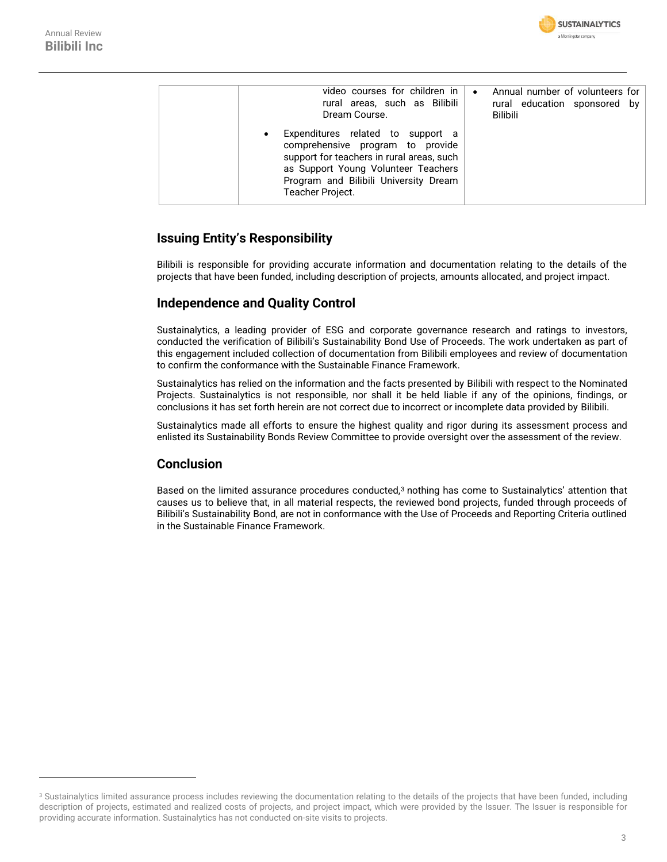| video courses for children in I<br>rural areas, such as Bilibili<br>Dream Course.                                                                                                                                      | $\bullet$ | Annual number of volunteers for<br>rural education sponsored by<br><b>Bilibili</b> |  |
|------------------------------------------------------------------------------------------------------------------------------------------------------------------------------------------------------------------------|-----------|------------------------------------------------------------------------------------|--|
| Expenditures related to support a<br>comprehensive program to provide<br>support for teachers in rural areas, such<br>as Support Young Volunteer Teachers<br>Program and Bilibili University Dream<br>Teacher Project. |           |                                                                                    |  |

### **Issuing Entity's Responsibility**

Bilibili is responsible for providing accurate information and documentation relating to the details of the projects that have been funded, including description of projects, amounts allocated, and project impact.

### **Independence and Quality Control**

Sustainalytics, a leading provider of ESG and corporate governance research and ratings to investors, conducted the verification of Bilibili's Sustainability Bond Use of Proceeds. The work undertaken as part of this engagement included collection of documentation from Bilibili employees and review of documentation to confirm the conformance with the Sustainable Finance Framework.

Sustainalytics has relied on the information and the facts presented by Bilibili with respect to the Nominated Projects. Sustainalytics is not responsible, nor shall it be held liable if any of the opinions, findings, or conclusions it has set forth herein are not correct due to incorrect or incomplete data provided by Bilibili.

Sustainalytics made all efforts to ensure the highest quality and rigor during its assessment process and enlisted its Sustainability Bonds Review Committee to provide oversight over the assessment of the review.

### **Conclusion**

Based on the limited assurance procedures conducted,<sup>3</sup> nothing has come to Sustainalytics' attention that causes us to believe that, in all material respects, the reviewed bond projects, funded through proceeds of Bilibili's Sustainability Bond, are not in conformance with the Use of Proceeds and Reporting Criteria outlined in the Sustainable Finance Framework.

<sup>&</sup>lt;sup>3</sup> Sustainalytics limited assurance process includes reviewing the documentation relating to the details of the projects that have been funded, including description of projects, estimated and realized costs of projects, and project impact, which were provided by the Issuer. The Issuer is responsible for providing accurate information. Sustainalytics has not conducted on-site visits to projects.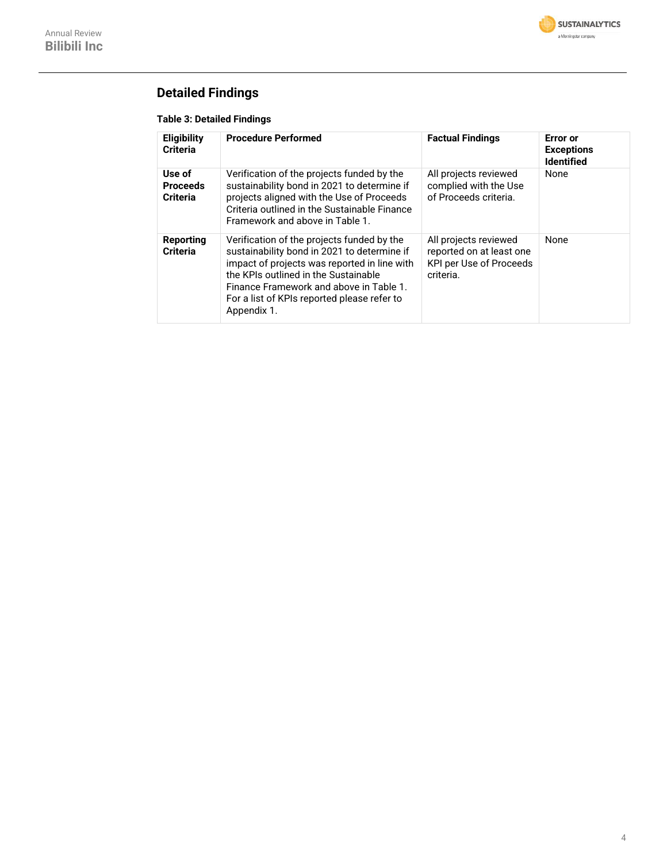

## **Detailed Findings**

#### **Table 3: Detailed Findings**

| <b>Eligibility</b><br><b>Criteria</b>        | <b>Procedure Performed</b>                                                                                                                                                                                                                                                                 | <b>Factual Findings</b>                                                                   | Error or<br><b>Exceptions</b><br><b>Identified</b> |
|----------------------------------------------|--------------------------------------------------------------------------------------------------------------------------------------------------------------------------------------------------------------------------------------------------------------------------------------------|-------------------------------------------------------------------------------------------|----------------------------------------------------|
| Use of<br><b>Proceeds</b><br><b>Criteria</b> | Verification of the projects funded by the<br>sustainability bond in 2021 to determine if<br>projects aligned with the Use of Proceeds<br>Criteria outlined in the Sustainable Finance<br>Framework and above in Table 1.                                                                  | All projects reviewed<br>complied with the Use<br>of Proceeds criteria.                   | None                                               |
| Reporting<br><b>Criteria</b>                 | Verification of the projects funded by the<br>sustainability bond in 2021 to determine if<br>impact of projects was reported in line with<br>the KPIs outlined in the Sustainable<br>Finance Framework and above in Table 1.<br>For a list of KPIs reported please refer to<br>Appendix 1. | All projects reviewed<br>reported on at least one<br>KPI per Use of Proceeds<br>criteria. | None                                               |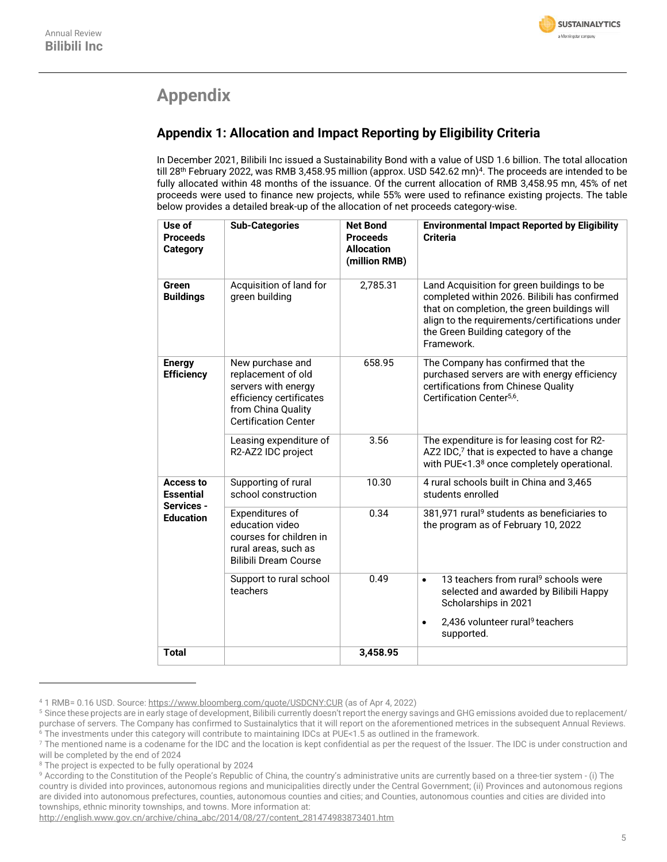

## **Appendix**

## **Appendix 1: Allocation and Impact Reporting by Eligibility Criteria**

In December 2021, Bilibili Inc issued a Sustainability Bond with a value of USD 1.6 billion. The total allocation till 28th February 2022, was RMB 3,458.95 million (approx. USD 542.62 mn) <sup>4</sup>. The proceeds are intended to be fully allocated within 48 months of the issuance. Of the current allocation of RMB 3,458.95 mn, 45% of net proceeds were used to finance new projects, while 55% were used to refinance existing projects. The table below provides a detailed break-up of the allocation of net proceeds category-wise.

<span id="page-4-0"></span>

| Use of<br><b>Proceeds</b><br><b>Category</b>                           | <b>Sub-Categories</b>                                                                                                                         | <b>Net Bond</b><br><b>Proceeds</b><br><b>Allocation</b><br>(million RMB) | <b>Environmental Impact Reported by Eligibility</b><br><b>Criteria</b>                                                                                                                                                                            |
|------------------------------------------------------------------------|-----------------------------------------------------------------------------------------------------------------------------------------------|--------------------------------------------------------------------------|---------------------------------------------------------------------------------------------------------------------------------------------------------------------------------------------------------------------------------------------------|
| <b>Green</b><br><b>Buildings</b>                                       | Acquisition of land for<br>green building                                                                                                     | 2,785.31                                                                 | Land Acquisition for green buildings to be<br>completed within 2026. Bilibili has confirmed<br>that on completion, the green buildings will<br>align to the requirements/certifications under<br>the Green Building category of the<br>Framework. |
| <b>Energy</b><br><b>Efficiency</b>                                     | New purchase and<br>replacement of old<br>servers with energy<br>efficiency certificates<br>from China Quality<br><b>Certification Center</b> | 658.95                                                                   | The Company has confirmed that the<br>purchased servers are with energy efficiency<br>certifications from Chinese Quality<br>Certification Center <sup>5,6</sup> .                                                                                |
|                                                                        | Leasing expenditure of<br>R2-AZ2 IDC project                                                                                                  | 3.56                                                                     | The expenditure is for leasing cost for R2-<br>AZ2 IDC,7 that is expected to have a change<br>with PUE<1.3 <sup>8</sup> once completely operational.                                                                                              |
| <b>Access to</b><br><b>Essential</b><br>Services -<br><b>Education</b> | Supporting of rural<br>school construction                                                                                                    | 10.30                                                                    | 4 rural schools built in China and 3,465<br>students enrolled                                                                                                                                                                                     |
|                                                                        | Expenditures of<br>education video<br>courses for children in<br>rural areas, such as<br><b>Bilibili Dream Course</b>                         | 0.34                                                                     | 381,971 rural <sup>9</sup> students as beneficiaries to<br>the program as of February 10, 2022                                                                                                                                                    |
|                                                                        | Support to rural school<br>teachers                                                                                                           | 0.49                                                                     | 13 teachers from rural <sup>9</sup> schools were<br>$\bullet$<br>selected and awarded by Bilibili Happy<br>Scholarships in 2021                                                                                                                   |
|                                                                        |                                                                                                                                               |                                                                          | 2,436 volunteer rural <sup>9</sup> teachers<br>$\bullet$<br>supported.                                                                                                                                                                            |
| <b>Total</b>                                                           |                                                                                                                                               | 3,458.95                                                                 |                                                                                                                                                                                                                                                   |

<sup>4</sup> 1 RMB= 0.16 USD. Source[: https://www.bloomberg.com/quote/USDCNY:CUR](https://www.bloomberg.com/quote/USDCNY:CUR) (as of Apr 4, 2022)

<sup>5</sup> Since these projects are in early stage of development, Bilibili currently doesn't report the energy savings and GHG emissions avoided due to replacement/ purchase of servers. The Company has confirmed to Sustainalytics that it will report on the aforementioned metrices in the subsequent Annual Reviews. <sup>6</sup> The investments under this category will contribute to maintaining IDCs at PUE<1.5 as outlined in the framework.

<sup>&</sup>lt;sup>7</sup> The mentioned name is a codename for the IDC and the location is kept confidential as per the request of the Issuer. The IDC is under construction and will be completed by the end of 2024

<sup>&</sup>lt;sup>8</sup> The project is expected to be fully operational by 2024

<sup>9</sup> According to the Constitution of the People's Republic of China, the country's administrative units are currently based on a three-tier system - (i) The country is divided into provinces, autonomous regions and municipalities directly under the Central Government; (ii) Provinces and autonomous regions are divided into autonomous prefectures, counties, autonomous counties and cities; and Counties, autonomous counties and cities are divided into townships, ethnic minority townships, and towns. More information at:

[http://english.www.gov.cn/archive/china\\_abc/2014/08/27/content\\_281474983873401.htm](http://english.www.gov.cn/archive/china_abc/2014/08/27/content_281474983873401.htm)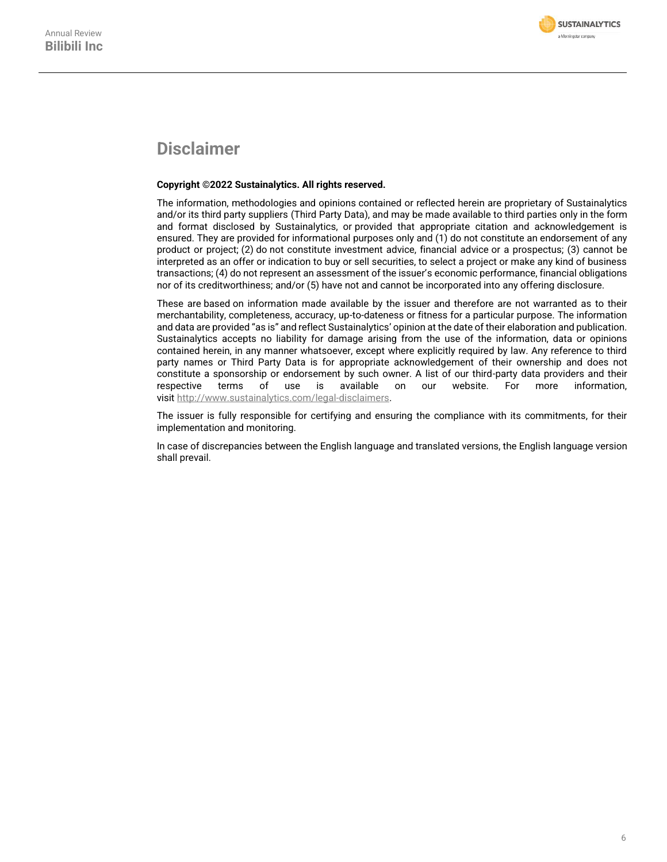

## **Disclaimer**

#### **Copyright ©2022 Sustainalytics. All rights reserved.**

The information, methodologies and opinions contained or reflected herein are proprietary of Sustainalytics and/or its third party suppliers (Third Party Data), and may be made available to third parties only in the form and format disclosed by Sustainalytics, or provided that appropriate citation and acknowledgement is ensured. They are provided for informational purposes only and (1) do not constitute an endorsement of any product or project; (2) do not constitute investment advice, financial advice or a prospectus; (3) cannot be interpreted as an offer or indication to buy or sell securities, to select a project or make any kind of business transactions; (4) do not represent an assessment of the issuer's economic performance, financial obligations nor of its creditworthiness; and/or (5) have not and cannot be incorporated into any offering disclosure.

These are based on information made available by the issuer and therefore are not warranted as to their merchantability, completeness, accuracy, up-to-dateness or fitness for a particular purpose. The information and data are provided "as is" and reflect Sustainalytics' opinion at the date of their elaboration and publication. Sustainalytics accepts no liability for damage arising from the use of the information, data or opinions contained herein, in any manner whatsoever, except where explicitly required by law. Any reference to third party names or Third Party Data is for appropriate acknowledgement of their ownership and does not constitute a sponsorship or endorsement by such owner. A list of our third-party data providers and their respective terms of use is available on our website. For more information, visit [http://www.sustainalytics.com/legal-disclaimers.](http://www.sustainalytics.com/legal-disclaimers)

The issuer is fully responsible for certifying and ensuring the compliance with its commitments, for their implementation and monitoring.

In case of discrepancies between the English language and translated versions, the English language version shall prevail.